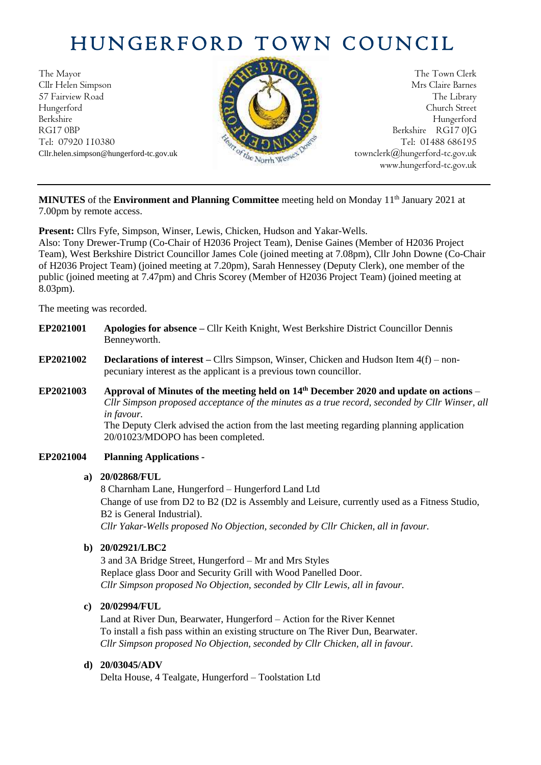# HUNGERFORD TOWN COUNCIL

The Mayor The Town Clerk<br>Clir Helen Simpson Mrs Claire Barnes Cllr Helen Simpson 57 Fairview Road The Library **The Library** The Library Hungerford Church Street Berkshire Hungerford RG17 0BP Berkshire RG17 0JG Tel: 07920 110380 Tel: 07920 110380



Cllr.helen.simpson@hungerford-tc.gov.uk [townclerk@hungerford-tc.gov.uk](mailto:townclerk@hungerford-tc.gov.uk) townclerk@hungerford-tc.gov.uk townclerk www.hungerford-tc.gov.uk

MINUTES of the Environment and Planning Committee meeting held on Monday 11<sup>th</sup> January 2021 at 7.00pm by remote access.

**Present:** Cllrs Fyfe, Simpson, Winser, Lewis, Chicken, Hudson and Yakar-Wells.

Also: Tony Drewer-Trump (Co-Chair of H2036 Project Team), Denise Gaines (Member of H2036 Project Team), West Berkshire District Councillor James Cole (joined meeting at 7.08pm), Cllr John Downe (Co-Chair of H2036 Project Team) (joined meeting at 7.20pm), Sarah Hennessey (Deputy Clerk), one member of the public (joined meeting at 7.47pm) and Chris Scorey (Member of H2036 Project Team) (joined meeting at 8.03pm).

The meeting was recorded.

- **EP2021001 Apologies for absence –** Cllr Keith Knight, West Berkshire District Councillor Dennis Benneyworth.
- **EP2021002 Declarations of interest –** Cllrs Simpson, Winser, Chicken and Hudson Item 4(f) nonpecuniary interest as the applicant is a previous town councillor.
- **EP2021003 Approval of Minutes of the meeting held on 14th December 2020 and update on actions** *Cllr Simpson proposed acceptance of the minutes as a true record, seconded by Cllr Winser, all in favour.* The Deputy Clerk advised the action from the last meeting regarding planning application 20/01023/MDOPO has been completed.

## **EP2021004 Planning Applications -**

#### **a) 20/02868/FUL**

8 Charnham Lane, Hungerford – Hungerford Land Ltd Change of use from D2 to B2 (D2 is Assembly and Leisure, currently used as a Fitness Studio, B2 is General Industrial). *Cllr Yakar-Wells proposed No Objection, seconded by Cllr Chicken, all in favour.*

## **b) 20/02921/LBC2**

3 and 3A Bridge Street, Hungerford – Mr and Mrs Styles Replace glass Door and Security Grill with Wood Panelled Door. *Cllr Simpson proposed No Objection, seconded by Cllr Lewis, all in favour.*

## **c) 20/02994/FUL**

Land at River Dun, Bearwater, Hungerford – Action for the River Kennet To install a fish pass within an existing structure on The River Dun, Bearwater. *Cllr Simpson proposed No Objection, seconded by Cllr Chicken, all in favour.*

#### **d) 20/03045/ADV**

Delta House, 4 Tealgate, Hungerford – Toolstation Ltd